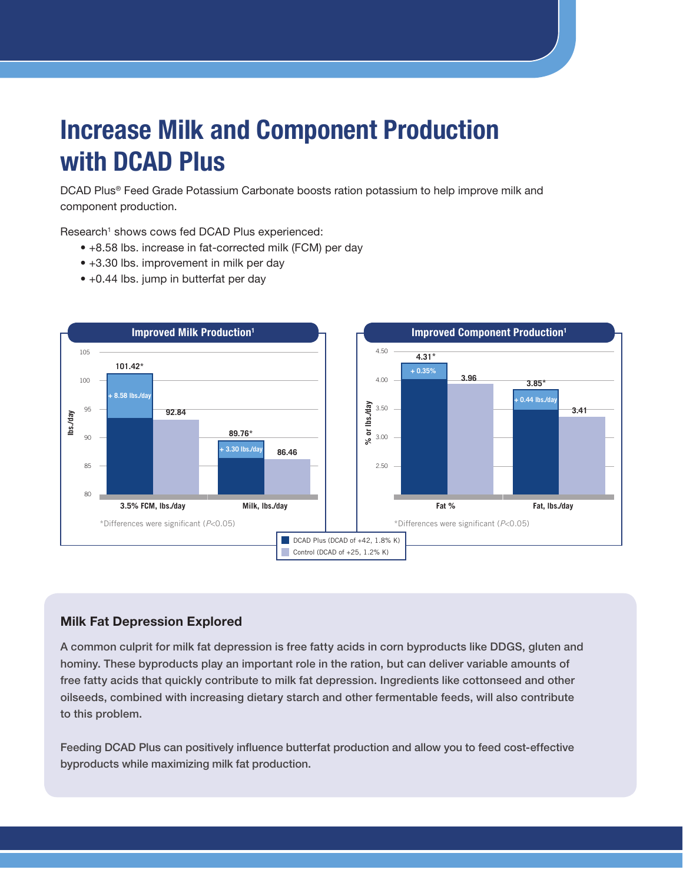## Increase Milk and Component Production with DCAD Plus

DCAD Plus® Feed Grade Potassium Carbonate boosts ration potassium to help improve milk and component production.

Research<sup>1</sup> shows cows fed DCAD Plus experienced:

- +8.58 lbs. increase in fat-corrected milk (FCM) per day
- +3.30 lbs. improvement in milk per day
- +0.44 lbs. jump in butterfat per day



## Milk Fat Depression Explored

A common culprit for milk fat depression is free fatty acids in corn byproducts like DDGS, gluten and hominy. These byproducts play an important role in the ration, but can deliver variable amounts of free fatty acids that quickly contribute to milk fat depression. Ingredients like cottonseed and other oilseeds, combined with increasing dietary starch and other fermentable feeds, will also contribute to this problem.

Feeding DCAD Plus can positively influence butterfat production and allow you to feed cost-effective byproducts while maximizing milk fat production.